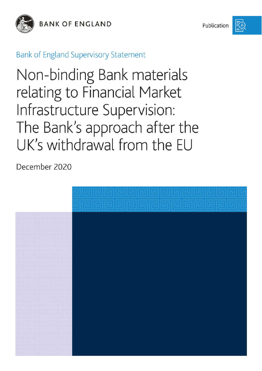

**BANK OF ENGLAND** 

Publication



**Bank of England Supervisory Statement** 

Non-binding Bank materials relating to Financial Market Infrastructure Supervision: The Bank's approach after the UK's withdrawal from the EU

December 2020

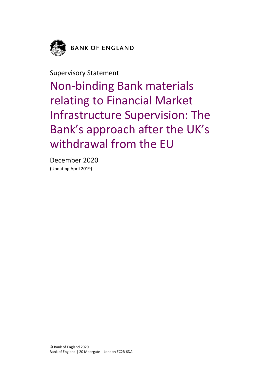

**BANK OF ENGLAND** 

Supervisory Statement

Non-binding Bank materials relating to Financial Market Infrastructure Supervision: The Bank's approach after the UK's withdrawal from the EU

December 2020 (Updating April 2019)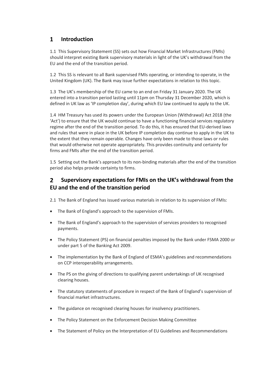## $\mathbf{1}$ **Introduction**

1.1 This Supervisory Statement (SS) sets out how Financial Market Infrastructures (FMIs) should interpret existing Bank supervisory materials in light of the UK's withdrawal from the EU and the end of the transition period.

1.2 This SS is relevant to all Bank supervised FMIs operating, or intending to operate, in the United Kingdom (UK). The Bank may issue further expectations in relation to this topic.

1.3 The UK's membership of the EU came to an end on Friday 31 January 2020. The UK entered into a transition period lasting until 11pm on Thursday 31 December 2020, which is defined in UK law as 'IP completion day', during which EU law continued to apply to the UK.

1.4 HM Treasury has used its powers under the European Union (Withdrawal) Act 2018 (the 'Act') to ensure that the UK would continue to have a functioning financial services regulatory regime after the end of the transition period. To do this, it has ensured that EU-derived laws and rules that were in place in the UK before IP completion day continue to apply in the UK to the extent that they remain operable. Changes have only been made to those laws or rules that would otherwise not operate appropriately. This provides continuity and certainty for firms and FMIs after the end of the transition period.

1.5 Setting out the Bank's approach to its non-binding materials after the end of the transition period also helps provide certainty to firms.

## **Supervisory expectations for FMIs on the UK's withdrawal from the**   $\overline{2}$ **EU and the end of the transition period**

2.1 The Bank of England has issued various materials in relation to its supervision of FMIs:

- The Bank of England's approach to the supervision of FMIs.
- The Bank of England's approach to the supervision of services providers to recognised payments.
- The Policy Statement (PS) on financial penalties imposed by the Bank under FSMA 2000 or under part 5 of the Banking Act 2009.
- The implementation by the Bank of England of ESMA's guidelines and recommendations on CCP interoperability arrangements.
- The PS on the giving of directions to qualifying parent undertakings of UK recognised clearing houses.
- The statutory statements of procedure in respect of the Bank of England's supervision of financial market infrastructures.
- The guidance on recognised clearing houses for insolvency practitioners.
- The Policy Statement on the Enforcement Decision Making Committee
- The Statement of Policy on the Interpretation of EU Guidelines and Recommendations